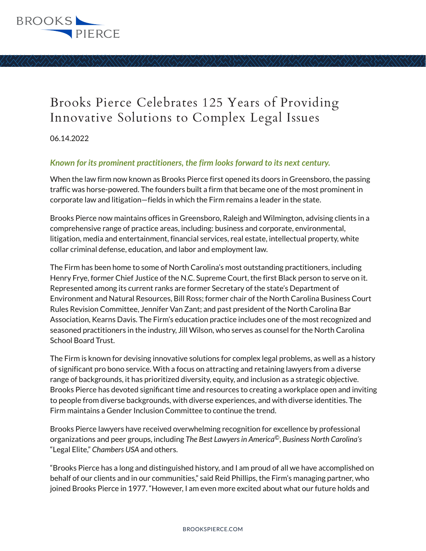

## Brooks Pierce Celebrates 125 Years of Providing Innovative Solutions to Complex Legal Issues

06.14.2022

## *Known for its prominent practitioners, the firm looks forward to its next century.*

When the law firm now known as Brooks Pierce first opened its doors in Greensboro, the passing traffic was horse-powered. The founders built a firm that became one of the most prominent in corporate law and litigation—fields in which the Firm remains a leader in the state.

Brooks Pierce now maintains offices in Greensboro, Raleigh and Wilmington, advising clients in a comprehensive range of practice areas, including: business and corporate, environmental, litigation, media and entertainment, financial services, real estate, intellectual property, white collar criminal defense, education, and labor and employment law.

The Firm has been home to some of North Carolina's most outstanding practitioners, including Henry Frye, former Chief Justice of the N.C. Supreme Court, the first Black person to serve on it. Represented among its current ranks are former Secretary of the state's Department of Environment and Natural Resources, Bill Ross; former chair of the North Carolina Business Court Rules Revision Committee, Jennifer Van Zant; and past president of the North Carolina Bar Association, Kearns Davis. The Firm's education practice includes one of the most recognized and seasoned practitioners in the industry, Jill Wilson, who serves as counsel for the North Carolina School Board Trust.

The Firm is known for devising innovative solutions for complex legal problems, as well as a history of significant pro bono service. With a focus on attracting and retaining lawyers from a diverse range of backgrounds, it has prioritized diversity, equity, and inclusion as a strategic objective. Brooks Pierce has devoted significant time and resources to creating a workplace open and inviting to people from diverse backgrounds, with diverse experiences, and with diverse identities. The Firm maintains a Gender Inclusion Committee to continue the trend.

Brooks Pierce lawyers have received overwhelming recognition for excellence by professional organizations and peer groups, including *The Best Lawyers in America©*, *Business North Carolina's* "Legal Elite," *Chambers USA* and others.

"Brooks Pierce has a long and distinguished history, and I am proud of all we have accomplished on behalf of our clients and in our communities," said Reid Phillips, the Firm's managing partner, who joined Brooks Pierce in 1977. "However, I am even more excited about what our future holds and